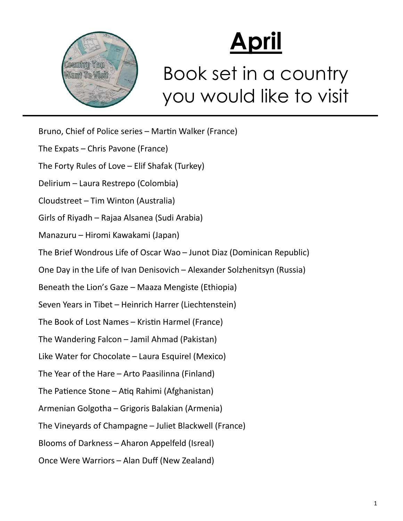

## **April**

## Book set in a country you would like to visit

Bruno, Chief of Police series – Martin Walker (France) The Expats – Chris Pavone (France) The Forty Rules of Love – Elif Shafak (Turkey) Delirium – Laura Restrepo (Colombia) Cloudstreet – Tim Winton (Australia) Girls of Riyadh – Rajaa Alsanea (Sudi Arabia) Manazuru – Hiromi Kawakami (Japan) The Brief Wondrous Life of Oscar Wao – Junot Diaz (Dominican Republic) One Day in the Life of Ivan Denisovich – Alexander Solzhenitsyn (Russia) Beneath the Lion's Gaze – Maaza Mengiste (Ethiopia) Seven Years in Tibet – Heinrich Harrer (Liechtenstein) The Book of Lost Names – Kristin Harmel (France) The Wandering Falcon – Jamil Ahmad (Pakistan) Like Water for Chocolate – Laura Esquirel (Mexico) The Year of the Hare – Arto Paasilinna (Finland) The Patience Stone – Atiq Rahimi (Afghanistan) Armenian Golgotha – Grigoris Balakian (Armenia) The Vineyards of Champagne – Juliet Blackwell (France) Blooms of Darkness – Aharon Appelfeld (Isreal) Once Were Warriors – Alan Duff (New Zealand)